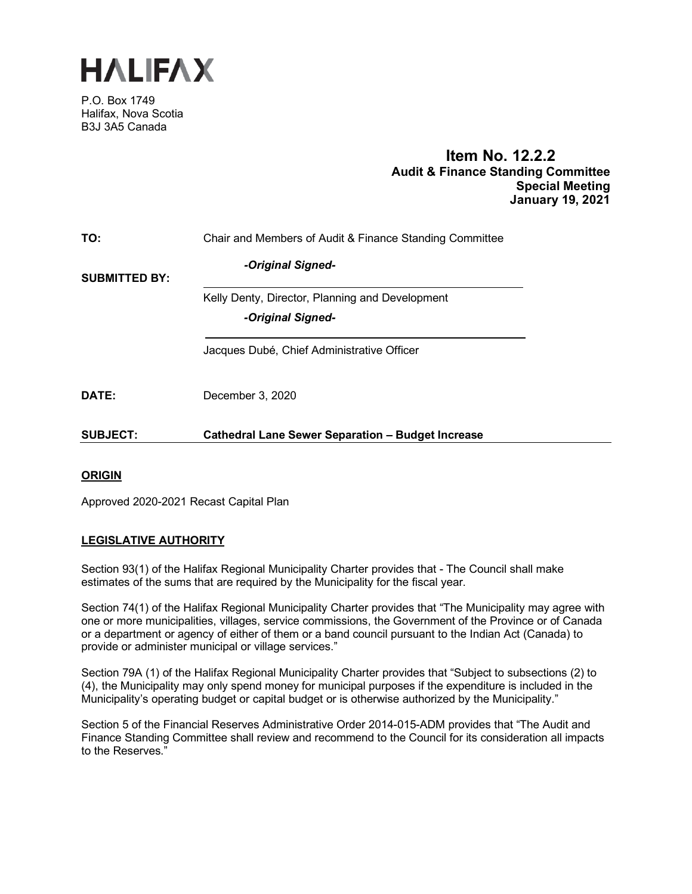

P.O. Box 1749 Halifax, Nova Scotia B3J 3A5 Canada

# **Item No. 12.2.2 Audit & Finance Standing Committee Special Meeting January 19, 2021**

| TO:                  | Chair and Members of Audit & Finance Standing Committee  |
|----------------------|----------------------------------------------------------|
| <b>SUBMITTED BY:</b> | -Original Signed-                                        |
|                      | Kelly Denty, Director, Planning and Development          |
|                      | -Original Signed-                                        |
|                      | Jacques Dubé, Chief Administrative Officer               |
| DATE:                | December 3, 2020                                         |
| <b>SUBJECT:</b>      | <b>Cathedral Lane Sewer Separation - Budget Increase</b> |

# **ORIGIN**

Approved 2020-2021 Recast Capital Plan

## **LEGISLATIVE AUTHORITY**

Section 93(1) of the Halifax Regional Municipality Charter provides that - The Council shall make estimates of the sums that are required by the Municipality for the fiscal year.

Section 74(1) of the Halifax Regional Municipality Charter provides that "The Municipality may agree with one or more municipalities, villages, service commissions, the Government of the Province or of Canada or a department or agency of either of them or a band council pursuant to the Indian Act (Canada) to provide or administer municipal or village services."

Section 79A (1) of the Halifax Regional Municipality Charter provides that "Subject to subsections (2) to (4), the Municipality may only spend money for municipal purposes if the expenditure is included in the Municipality's operating budget or capital budget or is otherwise authorized by the Municipality."

Section 5 of the Financial Reserves Administrative Order 2014-015-ADM provides that "The Audit and Finance Standing Committee shall review and recommend to the Council for its consideration all impacts to the Reserves."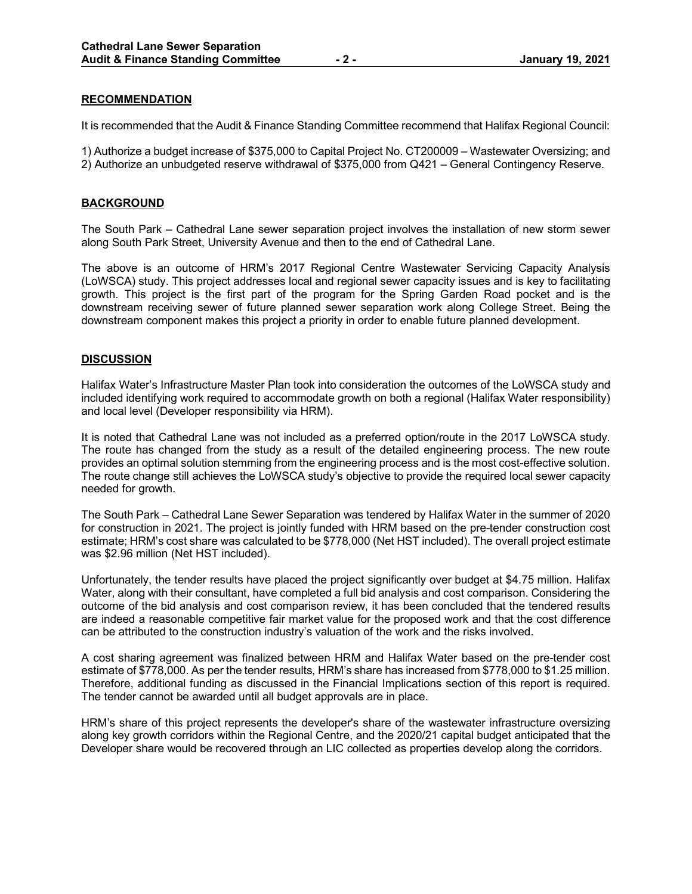## **RECOMMENDATION**

It is recommended that the Audit & Finance Standing Committee recommend that Halifax Regional Council:

1) Authorize a budget increase of \$375,000 to Capital Project No. CT200009 – Wastewater Oversizing; and 2) Authorize an unbudgeted reserve withdrawal of \$375,000 from Q421 – General Contingency Reserve.

#### **BACKGROUND**

The South Park – Cathedral Lane sewer separation project involves the installation of new storm sewer along South Park Street, University Avenue and then to the end of Cathedral Lane.

The above is an outcome of HRM's 2017 Regional Centre Wastewater Servicing Capacity Analysis (LoWSCA) study. This project addresses local and regional sewer capacity issues and is key to facilitating growth. This project is the first part of the program for the Spring Garden Road pocket and is the downstream receiving sewer of future planned sewer separation work along College Street. Being the downstream component makes this project a priority in order to enable future planned development.

#### **DISCUSSION**

Halifax Water's Infrastructure Master Plan took into consideration the outcomes of the LoWSCA study and included identifying work required to accommodate growth on both a regional (Halifax Water responsibility) and local level (Developer responsibility via HRM).

It is noted that Cathedral Lane was not included as a preferred option/route in the 2017 LoWSCA study. The route has changed from the study as a result of the detailed engineering process. The new route provides an optimal solution stemming from the engineering process and is the most cost-effective solution. The route change still achieves the LoWSCA study's objective to provide the required local sewer capacity needed for growth.

The South Park – Cathedral Lane Sewer Separation was tendered by Halifax Water in the summer of 2020 for construction in 2021. The project is jointly funded with HRM based on the pre-tender construction cost estimate; HRM's cost share was calculated to be \$778,000 (Net HST included). The overall project estimate was \$2.96 million (Net HST included).

Unfortunately, the tender results have placed the project significantly over budget at \$4.75 million. Halifax Water, along with their consultant, have completed a full bid analysis and cost comparison. Considering the outcome of the bid analysis and cost comparison review, it has been concluded that the tendered results are indeed a reasonable competitive fair market value for the proposed work and that the cost difference can be attributed to the construction industry's valuation of the work and the risks involved.

A cost sharing agreement was finalized between HRM and Halifax Water based on the pre-tender cost estimate of \$778,000. As per the tender results, HRM's share has increased from \$778,000 to \$1.25 million. Therefore, additional funding as discussed in the Financial Implications section of this report is required. The tender cannot be awarded until all budget approvals are in place.

HRM's share of this project represents the developer's share of the wastewater infrastructure oversizing along key growth corridors within the Regional Centre, and the 2020/21 capital budget anticipated that the Developer share would be recovered through an LIC collected as properties develop along the corridors.